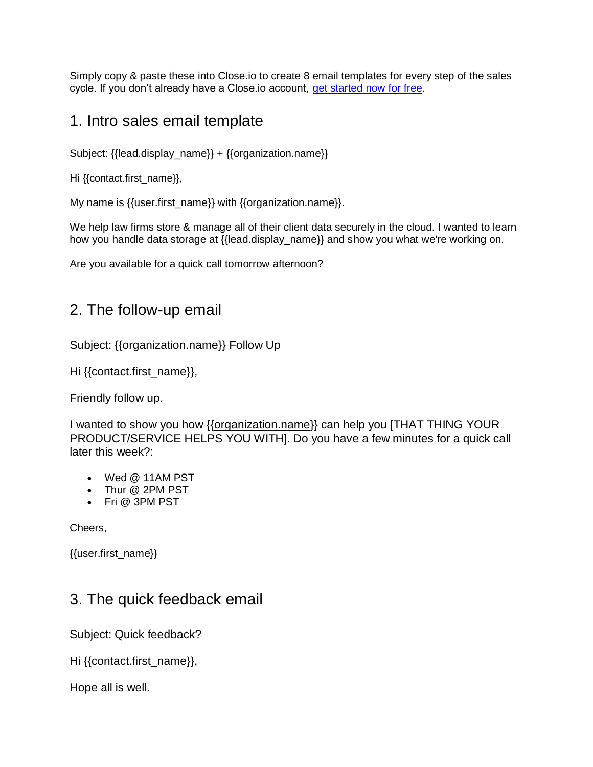Simply copy & paste these into Close.io to create 8 email templates for every step of the sales cycle. If you don't already have a Close.io account, [get started now for free.](https://app.close.io/signup/?utm_campaign=8emailtemplates&utm_medium=PDF&utm_source=leadmagnet)

## 1. Intro sales email template

Subject: {{lead.display\_name}} + {{organization.name}}

Hi {{contact.first\_name}},

My name is {{user.first\_name}} with {{organization.name}}.

We help law firms store & manage all of their client data securely in the cloud. I wanted to learn how you handle data storage at {{lead.display\_name}} and show you what we're working on.

Are you available for a quick call tomorrow afternoon?

### 2. The follow-up email

Subject: {{organization.name}} Follow Up

Hi {{contact.first\_name}},

Friendly follow up.

I wanted to show you how {[{organization.name}](http://organization.name/)} can help you [THAT THING YOUR PRODUCT/SERVICE HELPS YOU WITH]. Do you have a few minutes for a quick call later this week?:

- Wed @ 11AM PST
- Thur @ 2PM PST
- Fri @ 3PM PST

Cheers,

{{user.first\_name}}

#### 3. The quick feedback email

Subject: Quick feedback?

Hi {{contact.first\_name}},

Hope all is well.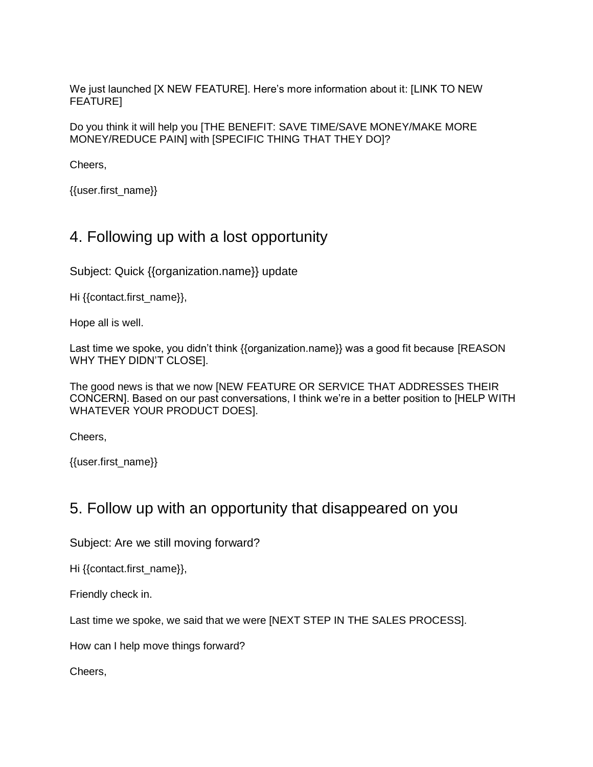We just launched [X NEW FEATURE]. Here's more information about it: [LINK TO NEW FEATURE]

Do you think it will help you [THE BENEFIT: SAVE TIME/SAVE MONEY/MAKE MORE MONEY/REDUCE PAIN] with [SPECIFIC THING THAT THEY DO]?

Cheers,

{{user.first\_name}}

# 4. Following up with a lost opportunity

Subject: Quick {{organization.name}} update

Hi {{contact.first\_name}},

Hope all is well.

Last time we spoke, you didn't think {{organization.name}} was a good fit because [REASON WHY THEY DIDN'T CLOSE].

The good news is that we now [NEW FEATURE OR SERVICE THAT ADDRESSES THEIR CONCERN]. Based on our past conversations, I think we're in a better position to [HELP WITH WHATEVER YOUR PRODUCT DOES].

Cheers,

{{user.first\_name}}

## 5. Follow up with an opportunity that disappeared on you

Subject: Are we still moving forward?

Hi {{contact.first\_name}},

Friendly check in.

Last time we spoke, we said that we were [NEXT STEP IN THE SALES PROCESS].

How can I help move things forward?

Cheers,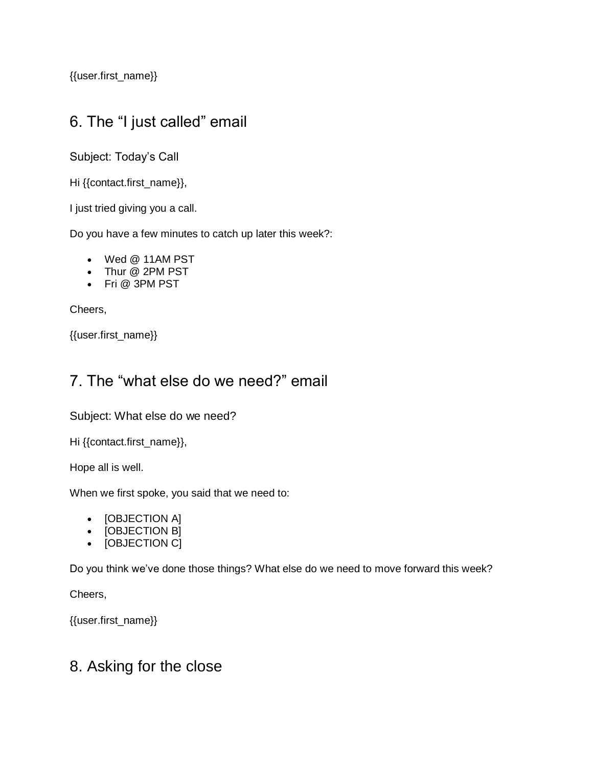{{user.first\_name}}

# 6. The "I just called" email

Subject: Today's Call

Hi {{contact.first\_name}},

I just tried giving you a call.

Do you have a few minutes to catch up later this week?:

- Wed @ 11AM PST
- Thur @ 2PM PST
- Fri @ 3PM PST

Cheers,

{{user.first\_name}}

# 7. The "what else do we need?" email

Subject: What else do we need?

Hi {{contact.first\_name}},

Hope all is well.

When we first spoke, you said that we need to:

- [OBJECTION A]
- [OBJECTION B]
- [OBJECTION C]

Do you think we've done those things? What else do we need to move forward this week?

Cheers,

{{user.first\_name}}

#### 8. Asking for the close